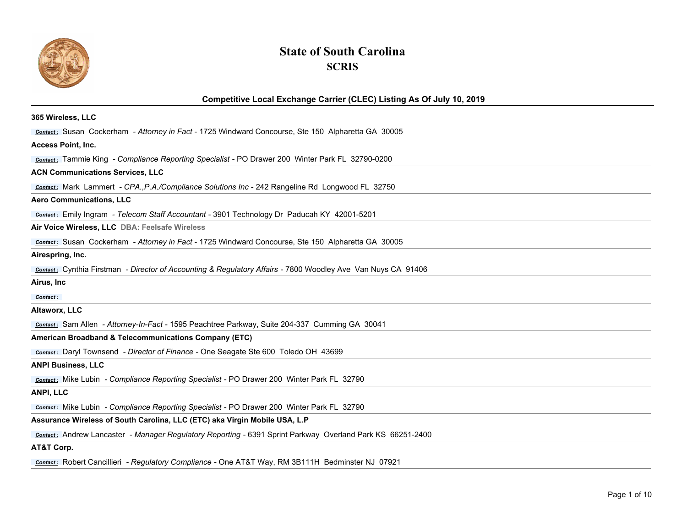

## **State of South Carolina SCRIS**

## **Competitive Local Exchange Carrier (CLEC) Listing As Of July 10, 2019**

| 365 Wireless, LLC                                                                                                   |
|---------------------------------------------------------------------------------------------------------------------|
| <b>Contact:</b> Susan Cockerham - Attorney in Fact - 1725 Windward Concourse, Ste 150 Alpharetta GA 30005           |
| <b>Access Point, Inc.</b>                                                                                           |
| <b>Contact:</b> Tammie King - Compliance Reporting Specialist - PO Drawer 200 Winter Park FL 32790-0200             |
| <b>ACN Communications Services, LLC</b>                                                                             |
| <b>Contact:</b> Mark Lammert - CPA., P.A./Compliance Solutions Inc - 242 Rangeline Rd Longwood FL 32750             |
| <b>Aero Communications, LLC</b>                                                                                     |
| <b>Contact:</b> Emily Ingram - Telecom Staff Accountant - 3901 Technology Dr Paducah KY 42001-5201                  |
| Air Voice Wireless, LLC DBA: Feelsafe Wireless                                                                      |
| Contact: Susan Cockerham - Attorney in Fact - 1725 Windward Concourse, Ste 150 Alpharetta GA 30005                  |
| Airespring, Inc.                                                                                                    |
| <b>Contact:</b> Cynthia Firstman - Director of Accounting & Regulatory Affairs - 7800 Woodley Ave Van Nuys CA 91406 |
| Airus, Inc                                                                                                          |
| Contact:                                                                                                            |
| Altaworx, LLC                                                                                                       |
| contact: Sam Allen - Attorney-In-Fact - 1595 Peachtree Parkway, Suite 204-337 Cumming GA 30041                      |
| <b>American Broadband &amp; Telecommunications Company (ETC)</b>                                                    |
| <b>Contact:</b> Daryl Townsend - Director of Finance - One Seagate Ste 600 Toledo OH 43699                          |
| <b>ANPI Business, LLC</b>                                                                                           |
| <b>Contact:</b> Mike Lubin - Compliance Reporting Specialist - PO Drawer 200 Winter Park FL 32790                   |
| ANPI, LLC                                                                                                           |
| <b>Contact:</b> Mike Lubin - Compliance Reporting Specialist - PO Drawer 200 Winter Park FL 32790                   |
| Assurance Wireless of South Carolina, LLC (ETC) aka Virgin Mobile USA, L.P                                          |
| <b>Contact:</b> Andrew Lancaster - Manager Regulatory Reporting - 6391 Sprint Parkway Overland Park KS 66251-2400   |
| AT&T Corp.                                                                                                          |
|                                                                                                                     |

*Contact :* Robert Cancillieri *- Regulatory Compliance* - One AT&T Way, RM 3B111H Bedminster NJ 07921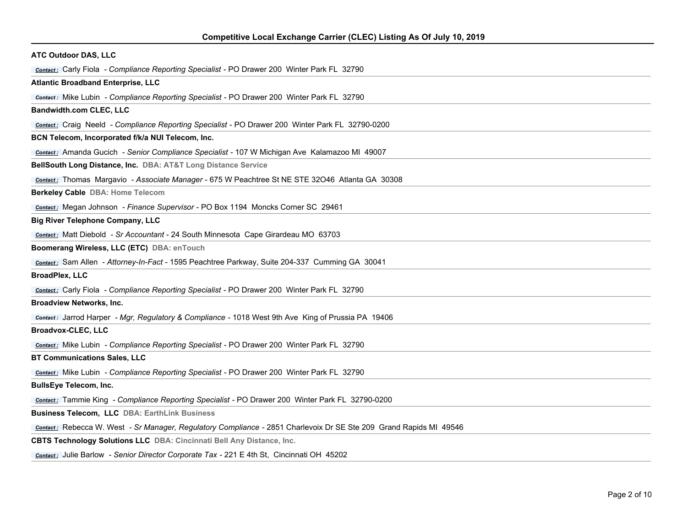| <b>ATC Outdoor DAS, LLC</b>                                                                                        |
|--------------------------------------------------------------------------------------------------------------------|
| <b>Contact:</b> Carly Fiola - Compliance Reporting Specialist - PO Drawer 200 Winter Park FL 32790                 |
| <b>Atlantic Broadband Enterprise, LLC</b>                                                                          |
| <b>Contact:</b> Mike Lubin - Compliance Reporting Specialist - PO Drawer 200 Winter Park FL 32790                  |
| <b>Bandwidth.com CLEC, LLC</b>                                                                                     |
| <b>Contact:</b> Craig Neeld - Compliance Reporting Specialist - PO Drawer 200 Winter Park FL 32790-0200            |
| BCN Telecom, Incorporated f/k/a NUI Telecom, Inc.                                                                  |
| Contact: Amanda Gucich - Senior Compliance Specialist - 107 W Michigan Ave Kalamazoo MI 49007                      |
| BellSouth Long Distance, Inc. DBA: AT&T Long Distance Service                                                      |
| Contact: Thomas Margavio - Associate Manager - 675 W Peachtree St NE STE 32046 Atlanta GA 30308                    |
| Berkeley Cable DBA: Home Telecom                                                                                   |
| Contact: Megan Johnson - Finance Supervisor - PO Box 1194 Moncks Corner SC 29461                                   |
| <b>Big River Telephone Company, LLC</b>                                                                            |
| <b>Contact:</b> Matt Diebold - Sr Accountant - 24 South Minnesota Cape Girardeau MO 63703                          |
| Boomerang Wireless, LLC (ETC) DBA: enTouch                                                                         |
| Contact: Sam Allen - Attorney-In-Fact - 1595 Peachtree Parkway, Suite 204-337 Cumming GA 30041                     |
| <b>BroadPlex, LLC</b>                                                                                              |
| <b>Contact:</b> Carly Fiola - Compliance Reporting Specialist - PO Drawer 200 Winter Park FL 32790                 |
| <b>Broadview Networks, Inc.</b>                                                                                    |
| Contact: Jarrod Harper - Mgr, Regulatory & Compliance - 1018 West 9th Ave King of Prussia PA 19406                 |
| <b>Broadvox-CLEC, LLC</b>                                                                                          |
| <b>Contact:</b> Mike Lubin - Compliance Reporting Specialist - PO Drawer 200 Winter Park FL 32790                  |
| <b>BT Communications Sales, LLC</b>                                                                                |
| <b>Contact:</b> Mike Lubin - Compliance Reporting Specialist - PO Drawer 200 Winter Park FL 32790                  |
| <b>BullsEye Telecom, Inc.</b>                                                                                      |
| <b>Contact:</b> Tammie King - Compliance Reporting Specialist - PO Drawer 200 Winter Park FL 32790-0200            |
| <b>Business Telecom, LLC DBA: EarthLink Business</b>                                                               |
| Contact: Rebecca W. West - Sr Manager, Regulatory Compliance - 2851 Charlevoix Dr SE Ste 209 Grand Rapids MI 49546 |
| CBTS Technology Solutions LLC DBA: Cincinnati Bell Any Distance, Inc.                                              |
| <b>Contact:</b> Julie Barlow - Senior Director Corporate Tax - 221 E 4th St, Cincinnati OH 45202                   |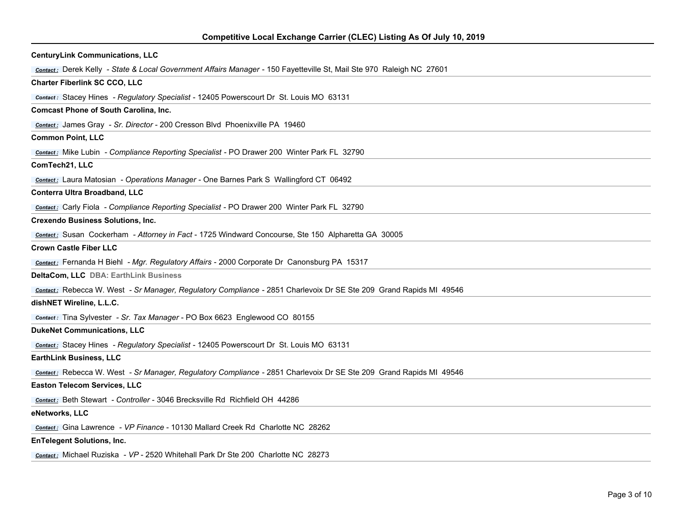| <b>CenturyLink Communications, LLC</b>                                                                               |
|----------------------------------------------------------------------------------------------------------------------|
| contact: Derek Kelly - State & Local Government Affairs Manager - 150 Fayetteville St, Mail Ste 970 Raleigh NC 27601 |
| <b>Charter Fiberlink SC CCO, LLC</b>                                                                                 |
| <b>Contact:</b> Stacey Hines - Regulatory Specialist - 12405 Powerscourt Dr St. Louis MO 63131                       |
| <b>Comcast Phone of South Carolina, Inc.</b>                                                                         |
| Contact: James Gray - Sr. Director - 200 Cresson Blvd Phoenixville PA 19460                                          |
| <b>Common Point, LLC</b>                                                                                             |
| <b>Contact:</b> Mike Lubin - Compliance Reporting Specialist - PO Drawer 200 Winter Park FL 32790                    |
| ComTech21, LLC                                                                                                       |
| <b>Contact:</b> Laura Matosian - Operations Manager - One Barnes Park S Wallingford CT 06492                         |
| Conterra Ultra Broadband, LLC                                                                                        |
| <b>Contact:</b> Carly Fiola - Compliance Reporting Specialist - PO Drawer 200 Winter Park FL 32790                   |
| <b>Crexendo Business Solutions, Inc.</b>                                                                             |
| contact: Susan Cockerham - Attorney in Fact - 1725 Windward Concourse, Ste 150 Alpharetta GA 30005                   |
| <b>Crown Castle Fiber LLC</b>                                                                                        |
| <b>Contact:</b> Fernanda H Biehl - Mgr. Regulatory Affairs - 2000 Corporate Dr Canonsburg PA 15317                   |
| DeltaCom, LLC DBA: EarthLink Business                                                                                |
| Contact: Rebecca W. West - Sr Manager, Regulatory Compliance - 2851 Charlevoix Dr SE Ste 209 Grand Rapids MI 49546   |
| dishNET Wireline, L.L.C.                                                                                             |
| contact: Tina Sylvester - Sr. Tax Manager - PO Box 6623 Englewood CO 80155                                           |
| <b>DukeNet Communications, LLC</b>                                                                                   |
| <b>Contact:</b> Stacey Hines - Regulatory Specialist - 12405 Powerscourt Dr St. Louis MO 63131                       |
| <b>EarthLink Business, LLC</b>                                                                                       |
| Contact: Rebecca W. West - Sr Manager, Regulatory Compliance - 2851 Charlevoix Dr SE Ste 209 Grand Rapids MI 49546   |
| <b>Easton Telecom Services, LLC</b>                                                                                  |
| contact: Beth Stewart - Controller - 3046 Brecksville Rd Richfield OH 44286                                          |
| eNetworks, LLC                                                                                                       |
| Contact: Gina Lawrence - VP Finance - 10130 Mallard Creek Rd Charlotte NC 28262                                      |
| <b>EnTelegent Solutions, Inc.</b>                                                                                    |
| Contact: Michael Ruziska - VP - 2520 Whitehall Park Dr Ste 200 Charlotte NC 28273                                    |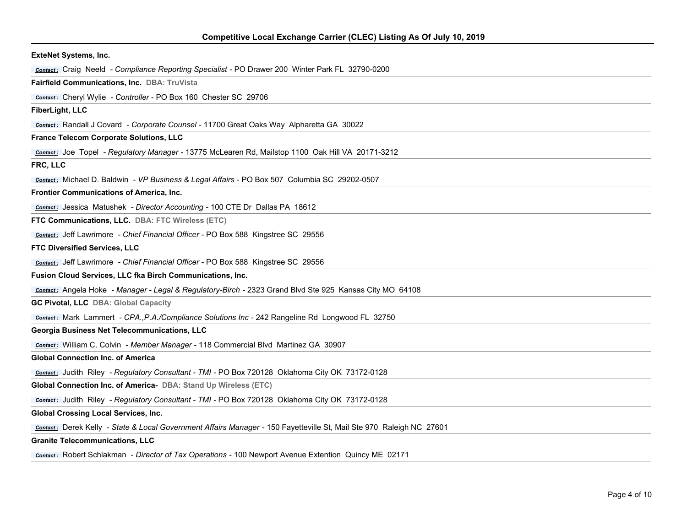| <b>ExteNet Systems, Inc.</b>                                                                                         |
|----------------------------------------------------------------------------------------------------------------------|
| <b>Contact:</b> Craig Neeld - Compliance Reporting Specialist - PO Drawer 200 Winter Park FL 32790-0200              |
| Fairfield Communications, Inc. DBA: TruVista                                                                         |
| Contact: Cheryl Wylie - Controller - PO Box 160 Chester SC 29706                                                     |
| FiberLight, LLC                                                                                                      |
| <b>Contact:</b> Randall J Covard - Corporate Counsel - 11700 Great Oaks Way Alpharetta GA 30022                      |
| France Telecom Corporate Solutions, LLC                                                                              |
| Contact: Joe Topel - Regulatory Manager - 13775 McLearen Rd, Mailstop 1100 Oak Hill VA 20171-3212                    |
| FRC, LLC                                                                                                             |
| <b>Contact:</b> Michael D. Baldwin - VP Business & Legal Affairs - PO Box 507 Columbia SC 29202-0507                 |
| Frontier Communications of America, Inc.                                                                             |
| Contact: Jessica Matushek - Director Accounting - 100 CTE Dr Dallas PA 18612                                         |
| FTC Communications, LLC. DBA: FTC Wireless (ETC)                                                                     |
| Contact: Jeff Lawrimore - Chief Financial Officer - PO Box 588 Kingstree SC 29556                                    |
| FTC Diversified Services, LLC                                                                                        |
| Contact: Jeff Lawrimore - Chief Financial Officer - PO Box 588 Kingstree SC 29556                                    |
| Fusion Cloud Services, LLC fka Birch Communications, Inc.                                                            |
| Contact: Angela Hoke - Manager - Legal & Regulatory-Birch - 2323 Grand Blvd Ste 925 Kansas City MO 64108             |
| <b>GC Pivotal, LLC DBA: Global Capacity</b>                                                                          |
| Contact: Mark Lammert - CPA., P.A./Compliance Solutions Inc - 242 Rangeline Rd Longwood FL 32750                     |
| Georgia Business Net Telecommunications, LLC                                                                         |
| <b>Contact:</b> William C. Colvin - Member Manager - 118 Commercial Blvd Martinez GA 30907                           |
| <b>Global Connection Inc. of America</b>                                                                             |
| Contact: Judith Riley - Regulatory Consultant - TMI - PO Box 720128 Oklahoma City OK 73172-0128                      |
| Global Connection Inc. of America- DBA: Stand Up Wireless (ETC)                                                      |
| contact: Judith Riley - Regulatory Consultant - TMI - PO Box 720128 Oklahoma City OK 73172-0128                      |
| <b>Global Crossing Local Services, Inc.</b>                                                                          |
| contact: Derek Kelly - State & Local Government Affairs Manager - 150 Fayetteville St, Mail Ste 970 Raleigh NC 27601 |
| <b>Granite Telecommunications, LLC</b>                                                                               |
|                                                                                                                      |

*Contact :* Robert Schlakman *- Director of Tax Operations* - 100 Newport Avenue Extention Quincy ME 02171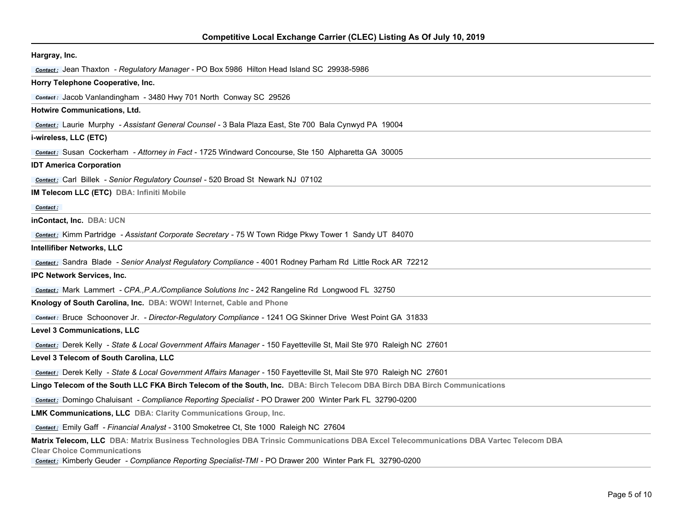| Hargray, Inc.                                                                                                                                                                                                                                                                                 |
|-----------------------------------------------------------------------------------------------------------------------------------------------------------------------------------------------------------------------------------------------------------------------------------------------|
| Contact: Jean Thaxton - Regulatory Manager - PO Box 5986 Hilton Head Island SC 29938-5986                                                                                                                                                                                                     |
| Horry Telephone Cooperative, Inc.                                                                                                                                                                                                                                                             |
| Contact: Jacob Vanlandingham - 3480 Hwy 701 North Conway SC 29526                                                                                                                                                                                                                             |
| Hotwire Communications, Ltd.                                                                                                                                                                                                                                                                  |
| contact: Laurie Murphy - Assistant General Counsel - 3 Bala Plaza East, Ste 700 Bala Cynwyd PA 19004                                                                                                                                                                                          |
| i-wireless, LLC (ETC)                                                                                                                                                                                                                                                                         |
| Contact: Susan Cockerham - Attorney in Fact - 1725 Windward Concourse, Ste 150 Alpharetta GA 30005                                                                                                                                                                                            |
| <b>IDT America Corporation</b>                                                                                                                                                                                                                                                                |
| <b>Contact:</b> Carl Billek - Senior Regulatory Counsel - 520 Broad St Newark NJ 07102                                                                                                                                                                                                        |
| IM Telecom LLC (ETC) DBA: Infiniti Mobile                                                                                                                                                                                                                                                     |
| Contact:                                                                                                                                                                                                                                                                                      |
| inContact, Inc. DBA: UCN                                                                                                                                                                                                                                                                      |
| Contact: Kimm Partridge - Assistant Corporate Secretary - 75 W Town Ridge Pkwy Tower 1 Sandy UT 84070                                                                                                                                                                                         |
| <b>Intellifiber Networks, LLC</b>                                                                                                                                                                                                                                                             |
| Contact: Sandra Blade - Senior Analyst Regulatory Compliance - 4001 Rodney Parham Rd Little Rock AR 72212                                                                                                                                                                                     |
| <b>IPC Network Services, Inc.</b>                                                                                                                                                                                                                                                             |
| <b>Contact:</b> Mark Lammert - CPA., P.A./Compliance Solutions Inc - 242 Rangeline Rd Longwood FL 32750                                                                                                                                                                                       |
| Knology of South Carolina, Inc. DBA: WOW! Internet, Cable and Phone                                                                                                                                                                                                                           |
| Contact: Bruce Schoonover Jr. - Director-Regulatory Compliance - 1241 OG Skinner Drive West Point GA 31833                                                                                                                                                                                    |
| <b>Level 3 Communications, LLC</b>                                                                                                                                                                                                                                                            |
| contact: Derek Kelly - State & Local Government Affairs Manager - 150 Fayetteville St, Mail Ste 970 Raleigh NC 27601                                                                                                                                                                          |
| Level 3 Telecom of South Carolina, LLC                                                                                                                                                                                                                                                        |
| contact: Derek Kelly - State & Local Government Affairs Manager - 150 Fayetteville St, Mail Ste 970 Raleigh NC 27601                                                                                                                                                                          |
| Lingo Telecom of the South LLC FKA Birch Telecom of the South, Inc. DBA: Birch Telecom DBA Birch DBA Birch Communications                                                                                                                                                                     |
| <b>Contact:</b> Domingo Chaluisant - Compliance Reporting Specialist - PO Drawer 200 Winter Park FL 32790-0200                                                                                                                                                                                |
| LMK Communications, LLC DBA: Clarity Communications Group, Inc.                                                                                                                                                                                                                               |
| contact: Emily Gaff - Financial Analyst - 3100 Smoketree Ct, Ste 1000 Raleigh NC 27604                                                                                                                                                                                                        |
| Matrix Telecom, LLC DBA: Matrix Business Technologies DBA Trinsic Communications DBA Excel Telecommunications DBA Vartec Telecom DBA<br><b>Clear Choice Communications</b><br><b>Contact:</b> Kimberly Geuder - Compliance Reporting Specialist-TMI - PO Drawer 200 Winter Park FL 32790-0200 |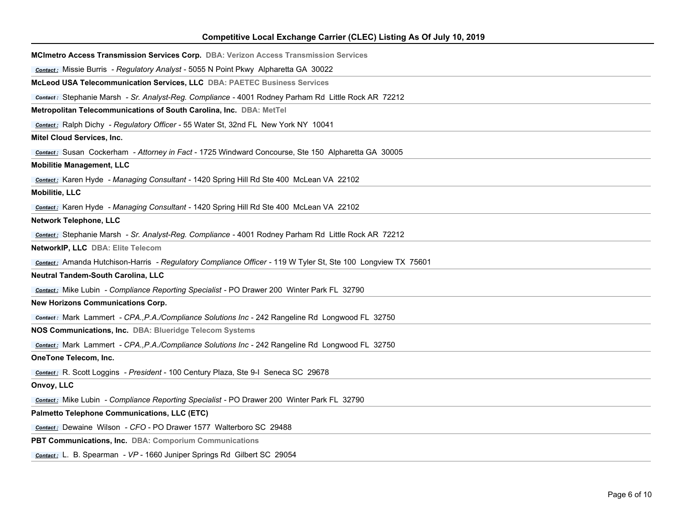| Competitive Local Exchange Carrier (CLEC) Listing As Of July 10, 2019                                        |
|--------------------------------------------------------------------------------------------------------------|
| MCImetro Access Transmission Services Corp. DBA: Verizon Access Transmission Services                        |
| <b>Contact:</b> Missie Burris - Regulatory Analyst - 5055 N Point Pkwy Alpharetta GA 30022                   |
| <b>McLeod USA Telecommunication Services, LLC DBA: PAETEC Business Services</b>                              |
| Contact: Stephanie Marsh - Sr. Analyst-Reg. Compliance - 4001 Rodney Parham Rd Little Rock AR 72212          |
| Metropolitan Telecommunications of South Carolina, Inc. DBA: MetTel                                          |
| <b>Contact:</b> Ralph Dichy - Regulatory Officer - 55 Water St, 32nd FL New York NY 10041                    |
| Mitel Cloud Services, Inc.                                                                                   |
| contact: Susan Cockerham - Attorney in Fact - 1725 Windward Concourse, Ste 150 Alpharetta GA 30005           |
| <b>Mobilitie Management, LLC</b>                                                                             |
| contact: Karen Hyde - Managing Consultant - 1420 Spring Hill Rd Ste 400 McLean VA 22102                      |
| <b>Mobilitie, LLC</b>                                                                                        |
| Contact: Karen Hyde - Managing Consultant - 1420 Spring Hill Rd Ste 400 McLean VA 22102                      |
| <b>Network Telephone, LLC</b>                                                                                |
| Contact: Stephanie Marsh - Sr. Analyst-Reg. Compliance - 4001 Rodney Parham Rd Little Rock AR 72212          |
| NetworkIP, LLC DBA: Elite Telecom                                                                            |
| contact: Amanda Hutchison-Harris - Regulatory Compliance Officer - 119 W Tyler St, Ste 100 Longview TX 75601 |
| Neutral Tandem-South Carolina, LLC                                                                           |
| <b>Contact:</b> Mike Lubin - Compliance Reporting Specialist - PO Drawer 200 Winter Park FL 32790            |
| <b>New Horizons Communications Corp.</b>                                                                     |
| Contact: Mark Lammert - CPA., P.A./Compliance Solutions Inc - 242 Rangeline Rd Longwood FL 32750             |
| NOS Communications, Inc. DBA: Blueridge Telecom Systems                                                      |
| <b>Contact:</b> Mark Lammert - CPA., P.A./Compliance Solutions Inc - 242 Rangeline Rd Longwood FL 32750      |
| OneTone Telecom, Inc.                                                                                        |
| Contact: R. Scott Loggins - President - 100 Century Plaza, Ste 9-I Seneca SC 29678                           |
| Onvoy, LLC                                                                                                   |
| <b>Contact:</b> Mike Lubin - Compliance Reporting Specialist - PO Drawer 200 Winter Park FL 32790            |
| Palmetto Telephone Communications, LLC (ETC)                                                                 |
| Contact: Dewaine Wilson - CFO - PO Drawer 1577 Walterboro SC 29488                                           |
| PBT Communications, Inc. DBA: Comporium Communications                                                       |
| contact: L. B. Spearman - VP - 1660 Juniper Springs Rd Gilbert SC 29054                                      |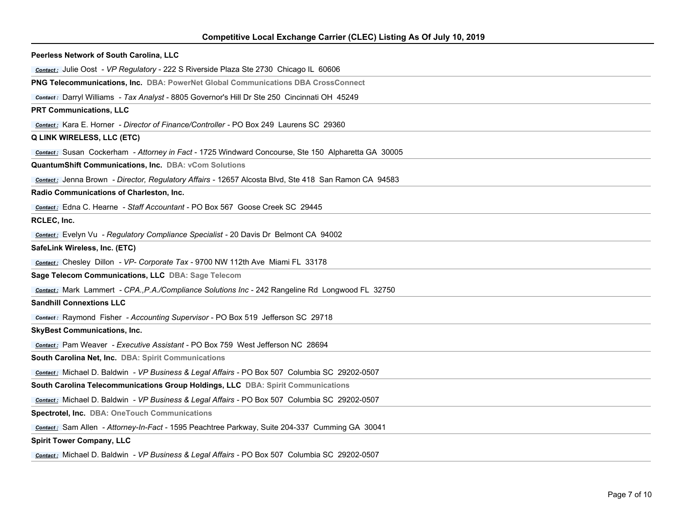| Competitive Local Exchange Carrier (CLEC) Listing As Of July 10, 2019 |  |  |
|-----------------------------------------------------------------------|--|--|
|                                                                       |  |  |

| Peerless Network of South Carolina, LLC                                                              |
|------------------------------------------------------------------------------------------------------|
| Contact: Julie Oost - VP Regulatory - 222 S Riverside Plaza Ste 2730 Chicago IL 60606                |
| PNG Telecommunications, Inc. DBA: PowerNet Global Communications DBA CrossConnect                    |
| Contact: Darryl Williams - Tax Analyst - 8805 Governor's Hill Dr Ste 250 Cincinnati OH 45249         |
| <b>PRT Communications, LLC</b>                                                                       |
| Contact: Kara E. Horner - Director of Finance/Controller - PO Box 249 Laurens SC 29360               |
| <b>Q LINK WIRELESS, LLC (ETC)</b>                                                                    |
| Contact: Susan Cockerham - Attorney in Fact - 1725 Windward Concourse, Ste 150 Alpharetta GA 30005   |
| QuantumShift Communications, Inc. DBA: vCom Solutions                                                |
| Contact: Jenna Brown - Director, Regulatory Affairs - 12657 Alcosta Blvd, Ste 418 San Ramon CA 94583 |
| Radio Communications of Charleston, Inc.                                                             |
| Contact: Edna C. Hearne - Staff Accountant - PO Box 567 Goose Creek SC 29445                         |
| RCLEC, Inc.                                                                                          |
| <b>Contact:</b> Evelyn Vu - Regulatory Compliance Specialist - 20 Davis Dr Belmont CA 94002          |
| SafeLink Wireless, Inc. (ETC)                                                                        |
| Contact: Chesley Dillon - VP- Corporate Tax - 9700 NW 112th Ave Miami FL 33178                       |
| Sage Telecom Communications, LLC DBA: Sage Telecom                                                   |
| Contact: Mark Lammert - CPA., P.A./Compliance Solutions Inc - 242 Rangeline Rd Longwood FL 32750     |
| <b>Sandhill Connextions LLC</b>                                                                      |
| <b>Contact:</b> Raymond Fisher - Accounting Supervisor - PO Box 519 Jefferson SC 29718               |
| <b>SkyBest Communications, Inc.</b>                                                                  |
| Contact: Pam Weaver - Executive Assistant - PO Box 759 West Jefferson NC 28694                       |
| South Carolina Net, Inc. DBA: Spirit Communications                                                  |
| Contact: Michael D. Baldwin - VP Business & Legal Affairs - PO Box 507 Columbia SC 29202-0507        |
| South Carolina Telecommunications Group Holdings, LLC DBA: Spirit Communications                     |
| <b>Contact:</b> Michael D. Baldwin - VP Business & Legal Affairs - PO Box 507 Columbia SC 29202-0507 |
| Spectrotel, Inc. DBA: OneTouch Communications                                                        |
| Contact: Sam Allen - Attorney-In-Fact - 1595 Peachtree Parkway, Suite 204-337 Cumming GA 30041       |
| <b>Spirit Tower Company, LLC</b>                                                                     |
| Contact: Michael D. Baldwin - VP Business & Legal Affairs - PO Box 507 Columbia SC 29202-0507        |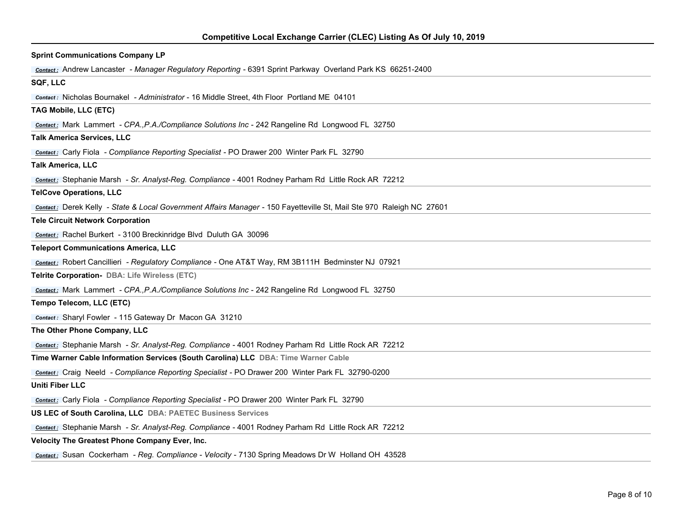| <b>Sprint Communications Company LP</b>                                                                              |
|----------------------------------------------------------------------------------------------------------------------|
| <b>Contact:</b> Andrew Lancaster - Manager Regulatory Reporting - 6391 Sprint Parkway Overland Park KS 66251-2400    |
| SQF, LLC                                                                                                             |
| <b>Contact:</b> Nicholas Bournakel - Administrator - 16 Middle Street, 4th Floor Portland ME 04101                   |
| TAG Mobile, LLC (ETC)                                                                                                |
| Contact: Mark Lammert - CPA., P.A./Compliance Solutions Inc - 242 Rangeline Rd Longwood FL 32750                     |
| <b>Talk America Services, LLC</b>                                                                                    |
| <b>Contact:</b> Carly Fiola - Compliance Reporting Specialist - PO Drawer 200 Winter Park FL 32790                   |
| <b>Talk America, LLC</b>                                                                                             |
| Contact: Stephanie Marsh - Sr. Analyst-Reg. Compliance - 4001 Rodney Parham Rd Little Rock AR 72212                  |
| <b>TelCove Operations, LLC</b>                                                                                       |
| contact: Derek Kelly - State & Local Government Affairs Manager - 150 Fayetteville St, Mail Ste 970 Raleigh NC 27601 |
| <b>Tele Circuit Network Corporation</b>                                                                              |
| Contact: Rachel Burkert - 3100 Breckinridge Blvd Duluth GA 30096                                                     |
| <b>Teleport Communications America, LLC</b>                                                                          |
| <b>Contact:</b> Robert Cancillieri - Regulatory Compliance - One AT&T Way, RM 3B111H Bedminster NJ 07921             |
| Telrite Corporation- DBA: Life Wireless (ETC)                                                                        |
| Contact: Mark Lammert - CPA., P.A./Compliance Solutions Inc - 242 Rangeline Rd Longwood FL 32750                     |
| Tempo Telecom, LLC (ETC)                                                                                             |
| Contact: Sharyl Fowler - 115 Gateway Dr Macon GA 31210                                                               |
| The Other Phone Company, LLC                                                                                         |
| Contact: Stephanie Marsh - Sr. Analyst-Reg. Compliance - 4001 Rodney Parham Rd Little Rock AR 72212                  |
| Time Warner Cable Information Services (South Carolina) LLC DBA: Time Warner Cable                                   |
| <b>Contact:</b> Craig Neeld - Compliance Reporting Specialist - PO Drawer 200 Winter Park FL 32790-0200              |
| <b>Uniti Fiber LLC</b>                                                                                               |
| <b>Contact:</b> Carly Fiola - Compliance Reporting Specialist - PO Drawer 200 Winter Park FL 32790                   |
| US LEC of South Carolina, LLC DBA: PAETEC Business Services                                                          |
| Contact: Stephanie Marsh - Sr. Analyst-Reg. Compliance - 4001 Rodney Parham Rd Little Rock AR 72212                  |
| Velocity The Greatest Phone Company Ever, Inc.                                                                       |
| Contact: Susan Cockerham - Reg. Compliance - Velocity - 7130 Spring Meadows Dr W Holland OH 43528                    |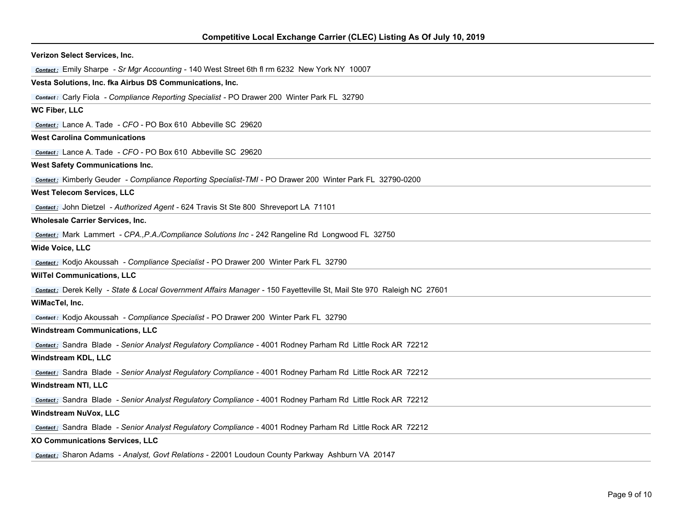| Verizon Select Services, Inc.                                                                                        |
|----------------------------------------------------------------------------------------------------------------------|
| contact: Emily Sharpe - Sr Mgr Accounting - 140 West Street 6th fl rm 6232 New York NY 10007                         |
| Vesta Solutions, Inc. fka Airbus DS Communications, Inc.                                                             |
| <b>Contact:</b> Carly Fiola - Compliance Reporting Specialist - PO Drawer 200 Winter Park FL 32790                   |
| WC Fiber, LLC                                                                                                        |
| <b>Contact:</b> Lance A. Tade - CFO - PO Box 610 Abbeville SC 29620                                                  |
| <b>West Carolina Communications</b>                                                                                  |
| Contact: Lance A. Tade - CFO - PO Box 610 Abbeville SC 29620                                                         |
| <b>West Safety Communications Inc.</b>                                                                               |
| <b>Contact:</b> Kimberly Geuder - Compliance Reporting Specialist-TMI - PO Drawer 200 Winter Park FL 32790-0200      |
| <b>West Telecom Services, LLC</b>                                                                                    |
| <b>Contact:</b> John Dietzel - Authorized Agent - 624 Travis St Ste 800 Shreveport LA 71101                          |
| Wholesale Carrier Services, Inc.                                                                                     |
| <b>Contact:</b> Mark Lammert - CPA., P.A./Compliance Solutions Inc - 242 Rangeline Rd Longwood FL 32750              |
| <b>Wide Voice, LLC</b>                                                                                               |
| <b>Contact:</b> Kodjo Akoussah - Compliance Specialist - PO Drawer 200 Winter Park FL 32790                          |
| <b>WilTel Communications, LLC</b>                                                                                    |
| contact: Derek Kelly - State & Local Government Affairs Manager - 150 Fayetteville St, Mail Ste 970 Raleigh NC 27601 |
| WiMacTel, Inc.                                                                                                       |
| <b>Contact:</b> Kodjo Akoussah - Compliance Specialist - PO Drawer 200 Winter Park FL 32790                          |
| <b>Windstream Communications, LLC</b>                                                                                |
| <b>Contact:</b> Sandra Blade - Senior Analyst Regulatory Compliance - 4001 Rodney Parham Rd Little Rock AR 72212     |
| <b>Windstream KDL, LLC</b>                                                                                           |
| <b>Contact:</b> Sandra Blade - Senior Analyst Regulatory Compliance - 4001 Rodney Parham Rd Little Rock AR 72212     |
| Windstream NTI, LLC                                                                                                  |
| <b>Contact:</b> Sandra Blade - Senior Analyst Regulatory Compliance - 4001 Rodney Parham Rd Little Rock AR 72212     |
| <b>Windstream NuVox, LLC</b>                                                                                         |
| <b>Contact:</b> Sandra Blade - Senior Analyst Regulatory Compliance - 4001 Rodney Parham Rd Little Rock AR 72212     |
| XO Communications Services, LLC                                                                                      |
| Contact: Sharon Adams - Analyst, Govt Relations - 22001 Loudoun County Parkway Ashburn VA 20147                      |